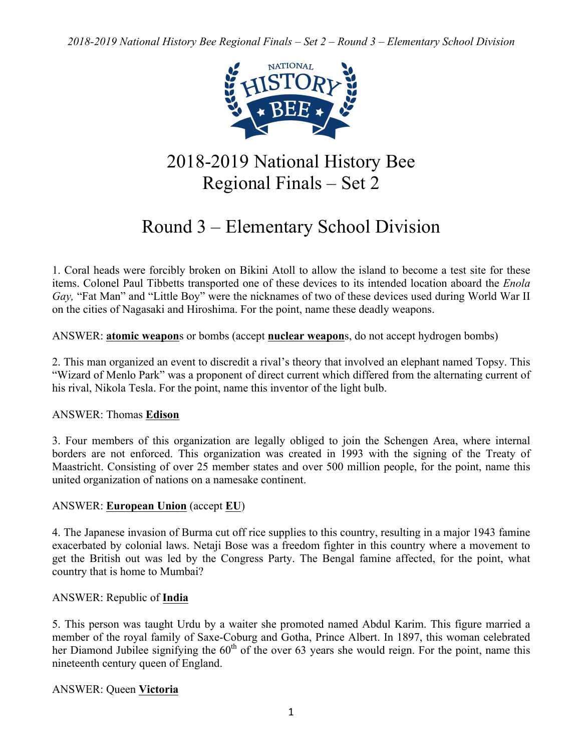

# 2018-2019 National History Bee Regional Finals – Set 2

# Round 3 – Elementary School Division

1. Coral heads were forcibly broken on Bikini Atoll to allow the island to become a test site for these items. Colonel Paul Tibbetts transported one of these devices to its intended location aboard the *Enola Gay,* "Fat Man" and "Little Boy" were the nicknames of two of these devices used during World War II on the cities of Nagasaki and Hiroshima. For the point, name these deadly weapons.

ANSWER: **atomic weapon**s or bombs (accept **nuclear weapon**s, do not accept hydrogen bombs)

2. This man organized an event to discredit a rival's theory that involved an elephant named Topsy. This "Wizard of Menlo Park" was a proponent of direct current which differed from the alternating current of his rival, Nikola Tesla. For the point, name this inventor of the light bulb.

## ANSWER: Thomas **Edison**

3. Four members of this organization are legally obliged to join the Schengen Area, where internal borders are not enforced. This organization was created in 1993 with the signing of the Treaty of Maastricht. Consisting of over 25 member states and over 500 million people, for the point, name this united organization of nations on a namesake continent.

# ANSWER: **European Union** (accept **EU**)

4. The Japanese invasion of Burma cut off rice supplies to this country, resulting in a major 1943 famine exacerbated by colonial laws. Netaji Bose was a freedom fighter in this country where a movement to get the British out was led by the Congress Party. The Bengal famine affected, for the point, what country that is home to Mumbai?

# ANSWER: Republic of **India**

5. This person was taught Urdu by a waiter she promoted named Abdul Karim. This figure married a member of the royal family of Saxe-Coburg and Gotha, Prince Albert. In 1897, this woman celebrated her Diamond Jubilee signifying the  $60<sup>th</sup>$  of the over 63 years she would reign. For the point, name this nineteenth century queen of England.

# ANSWER: Queen **Victoria**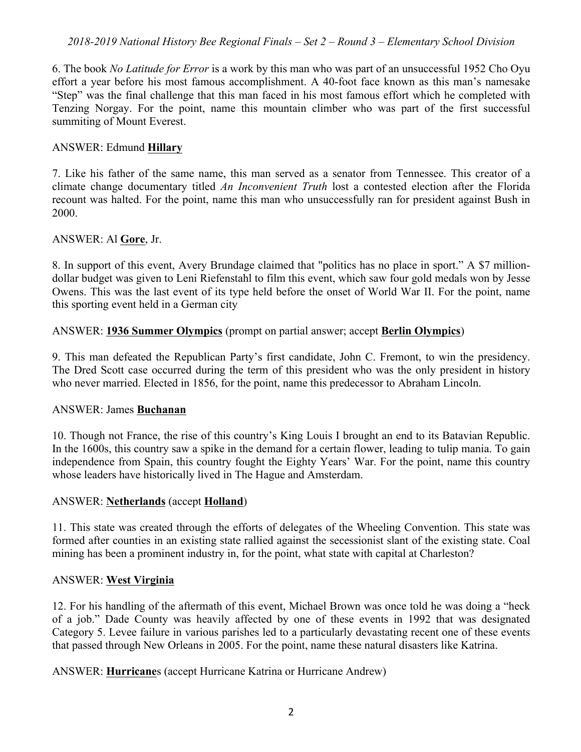## *2018-2019 National History Bee Regional Finals – Set 2 – Round 3 – Elementary School Division*

6. The book *No Latitude for Error* is a work by this man who was part of an unsuccessful 1952 Cho Oyu effort a year before his most famous accomplishment. A 40-foot face known as this man's namesake "Step" was the final challenge that this man faced in his most famous effort which he completed with Tenzing Norgay. For the point, name this mountain climber who was part of the first successful summiting of Mount Everest.

#### ANSWER: Edmund **Hillary**

7. Like his father of the same name, this man served as a senator from Tennessee. This creator of a climate change documentary titled *An Inconvenient Truth* lost a contested election after the Florida recount was halted. For the point, name this man who unsuccessfully ran for president against Bush in 2000.

#### ANSWER: Al **Gore**, Jr.

8. In support of this event, Avery Brundage claimed that "politics has no place in sport." A \$7 milliondollar budget was given to Leni Riefenstahl to film this event, which saw four gold medals won by Jesse Owens. This was the last event of its type held before the onset of World War II. For the point, name this sporting event held in a German city

#### ANSWER: **1936 Summer Olympics** (prompt on partial answer; accept **Berlin Olympics**)

9. This man defeated the Republican Party's first candidate, John C. Fremont, to win the presidency. The Dred Scott case occurred during the term of this president who was the only president in history who never married. Elected in 1856, for the point, name this predecessor to Abraham Lincoln.

#### ANSWER: James **Buchanan**

10. Though not France, the rise of this country's King Louis I brought an end to its Batavian Republic. In the 1600s, this country saw a spike in the demand for a certain flower, leading to tulip mania. To gain independence from Spain, this country fought the Eighty Years' War. For the point, name this country whose leaders have historically lived in The Hague and Amsterdam.

#### ANSWER: **Netherlands** (accept **Holland**)

11. This state was created through the efforts of delegates of the Wheeling Convention. This state was formed after counties in an existing state rallied against the secessionist slant of the existing state. Coal mining has been a prominent industry in, for the point, what state with capital at Charleston?

#### ANSWER: **West Virginia**

12. For his handling of the aftermath of this event, Michael Brown was once told he was doing a "heck of a job." Dade County was heavily affected by one of these events in 1992 that was designated Category 5. Levee failure in various parishes led to a particularly devastating recent one of these events that passed through New Orleans in 2005. For the point, name these natural disasters like Katrina.

ANSWER: **Hurricane**s (accept Hurricane Katrina or Hurricane Andrew)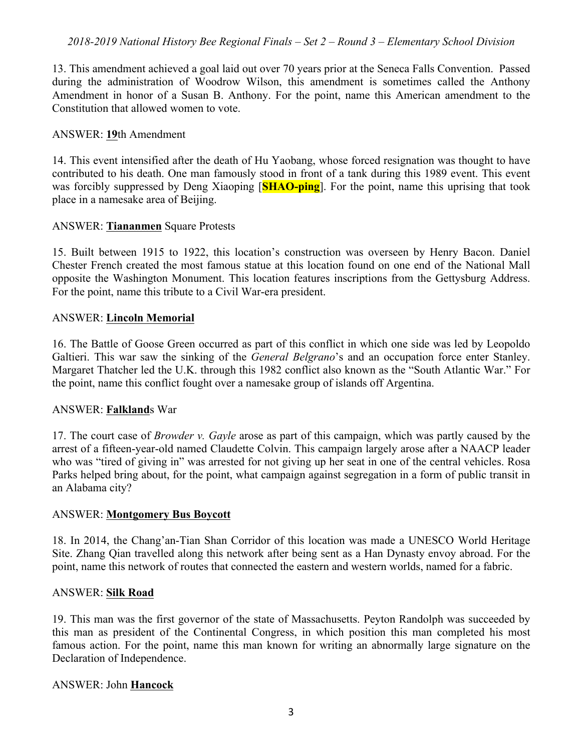## *2018-2019 National History Bee Regional Finals – Set 2 – Round 3 – Elementary School Division*

13. This amendment achieved a goal laid out over 70 years prior at the Seneca Falls Convention. Passed during the administration of Woodrow Wilson, this amendment is sometimes called the Anthony Amendment in honor of a Susan B. Anthony. For the point, name this American amendment to the Constitution that allowed women to vote.

#### ANSWER: **19**th Amendment

14. This event intensified after the death of Hu Yaobang, whose forced resignation was thought to have contributed to his death. One man famously stood in front of a tank during this 1989 event. This event was forcibly suppressed by Deng Xiaoping [**SHAO-ping**]. For the point, name this uprising that took place in a namesake area of Beijing.

#### ANSWER: **Tiananmen** Square Protests

15. Built between 1915 to 1922, this location's construction was overseen by Henry Bacon. Daniel Chester French created the most famous statue at this location found on one end of the National Mall opposite the Washington Monument. This location features inscriptions from the Gettysburg Address. For the point, name this tribute to a Civil War-era president.

#### ANSWER: **Lincoln Memorial**

16. The Battle of Goose Green occurred as part of this conflict in which one side was led by Leopoldo Galtieri. This war saw the sinking of the *General Belgrano*'s and an occupation force enter Stanley. Margaret Thatcher led the U.K. through this 1982 conflict also known as the "South Atlantic War." For the point, name this conflict fought over a namesake group of islands off Argentina.

#### ANSWER: **Falkland**s War

17. The court case of *Browder v. Gayle* arose as part of this campaign, which was partly caused by the arrest of a fifteen-year-old named Claudette Colvin. This campaign largely arose after a NAACP leader who was "tired of giving in" was arrested for not giving up her seat in one of the central vehicles. Rosa Parks helped bring about, for the point, what campaign against segregation in a form of public transit in an Alabama city?

#### ANSWER: **Montgomery Bus Boycott**

18. In 2014, the Chang'an-Tian Shan Corridor of this location was made a UNESCO World Heritage Site. Zhang Qian travelled along this network after being sent as a Han Dynasty envoy abroad. For the point, name this network of routes that connected the eastern and western worlds, named for a fabric.

#### ANSWER: **Silk Road**

19. This man was the first governor of the state of Massachusetts. Peyton Randolph was succeeded by this man as president of the Continental Congress, in which position this man completed his most famous action. For the point, name this man known for writing an abnormally large signature on the Declaration of Independence.

#### ANSWER: John **Hancock**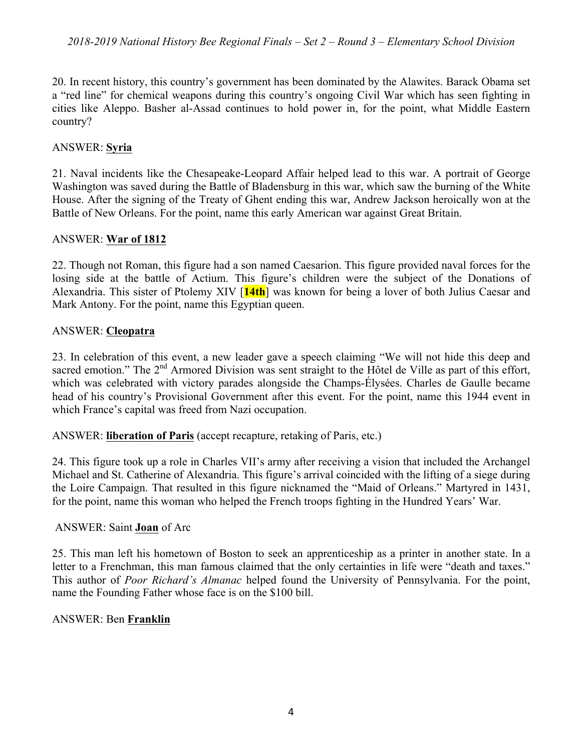20. In recent history, this country's government has been dominated by the Alawites. Barack Obama set a "red line" for chemical weapons during this country's ongoing Civil War which has seen fighting in cities like Aleppo. Basher al-Assad continues to hold power in, for the point, what Middle Eastern country?

# ANSWER: **Syria**

21. Naval incidents like the Chesapeake-Leopard Affair helped lead to this war. A portrait of George Washington was saved during the Battle of Bladensburg in this war, which saw the burning of the White House. After the signing of the Treaty of Ghent ending this war, Andrew Jackson heroically won at the Battle of New Orleans. For the point, name this early American war against Great Britain.

## ANSWER: **War of 1812**

22. Though not Roman, this figure had a son named Caesarion. This figure provided naval forces for the losing side at the battle of Actium. This figure's children were the subject of the Donations of Alexandria. This sister of Ptolemy XIV [**14th**] was known for being a lover of both Julius Caesar and Mark Antony. For the point, name this Egyptian queen.

## ANSWER: **Cleopatra**

23. In celebration of this event, a new leader gave a speech claiming "We will not hide this deep and sacred emotion." The  $2<sup>nd</sup>$  Armored Division was sent straight to the Hôtel de Ville as part of this effort, which was celebrated with victory parades alongside the Champs-Élysées. Charles de Gaulle became head of his country's Provisional Government after this event. For the point, name this 1944 event in which France's capital was freed from Nazi occupation.

ANSWER: **liberation of Paris** (accept recapture, retaking of Paris, etc.)

24. This figure took up a role in Charles VII's army after receiving a vision that included the Archangel Michael and St. Catherine of Alexandria. This figure's arrival coincided with the lifting of a siege during the Loire Campaign. That resulted in this figure nicknamed the "Maid of Orleans." Martyred in 1431, for the point, name this woman who helped the French troops fighting in the Hundred Years' War.

## ANSWER: Saint **Joan** of Arc

25. This man left his hometown of Boston to seek an apprenticeship as a printer in another state. In a letter to a Frenchman, this man famous claimed that the only certainties in life were "death and taxes." This author of *Poor Richard's Almanac* helped found the University of Pennsylvania. For the point, name the Founding Father whose face is on the \$100 bill.

## ANSWER: Ben **Franklin**